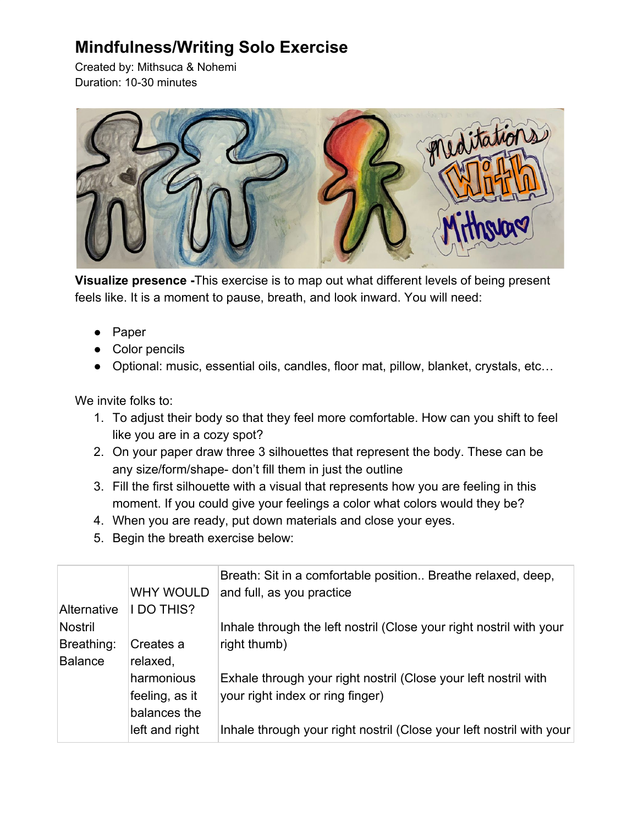## **Mindfulness/Writing Solo Exercise**

Created by: Mithsuca & Nohemi Duration: 10-30 minutes



**Visualize presence -**This exercise is to map out what different levels of being present feels like. It is a moment to pause, breath, and look inward. You will need:

- Paper
- Color pencils
- Optional: music, essential oils, candles, floor mat, pillow, blanket, crystals, etc...

We invite folks to:

- 1. To adjust their body so that they feel more comfortable. How can you shift to feel like you are in a cozy spot?
- 2. On your paper draw three 3 silhouettes that represent the body. These can be any size/form/shape- don't fill them in just the outline
- 3. Fill the first silhouette with a visual that represents how you are feeling in this moment. If you could give your feelings a color what colors would they be?
- 4. When you are ready, put down materials and close your eyes.
- 5. Begin the breath exercise below:

| WHY WOULD         | Breath: Sit in a comfortable position Breathe relaxed, deep,<br>and full, as you practice |
|-------------------|-------------------------------------------------------------------------------------------|
| <b>I DO THIS?</b> |                                                                                           |
|                   | Inhale through the left nostril (Close your right nostril with your                       |
| Creates a         | right thumb)                                                                              |
| relaxed,          |                                                                                           |
| harmonious        | Exhale through your right nostril (Close your left nostril with                           |
| feeling, as it    | your right index or ring finger)                                                          |
| balances the      |                                                                                           |
| left and right    | Inhale through your right nostril (Close your left nostril with your                      |
|                   |                                                                                           |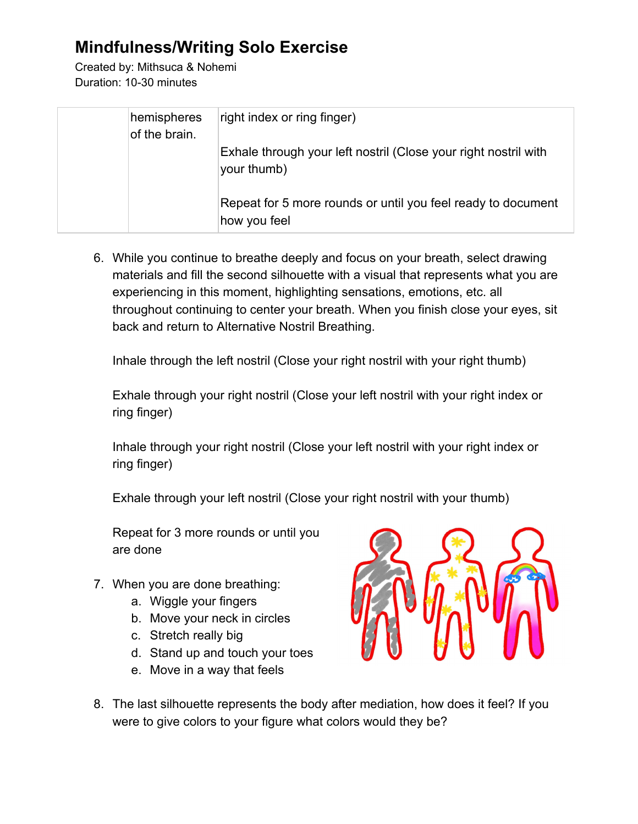## **Mindfulness/Writing Solo Exercise**

Created by: Mithsuca & Nohemi Duration: 10-30 minutes

| hemispheres<br>of the brain. | right index or ring finger)                                                    |
|------------------------------|--------------------------------------------------------------------------------|
|                              | Exhale through your left nostril (Close your right nostril with<br>your thumb) |
|                              | Repeat for 5 more rounds or until you feel ready to document<br>how you feel   |

6. While you continue to breathe deeply and focus on your breath, select drawing materials and fill the second silhouette with a visual that represents what you are experiencing in this moment, highlighting sensations, emotions, etc. all throughout continuing to center your breath. When you finish close your eyes, sit back and return to Alternative Nostril Breathing.

Inhale through the left nostril (Close your right nostril with your right thumb)

Exhale through your right nostril (Close your left nostril with your right index or ring finger)

Inhale through your right nostril (Close your left nostril with your right index or ring finger)

Exhale through your left nostril (Close your right nostril with your thumb)

Repeat for 3 more rounds or until you are done

- 7. When you are done breathing:
	- a. Wiggle your fingers
	- b. Move your neck in circles
	- c. Stretch really big
	- d. Stand up and touch your toes
	- e. Move in a way that feels



8. The last silhouette represents the body after mediation, how does it feel? If you were to give colors to your figure what colors would they be?